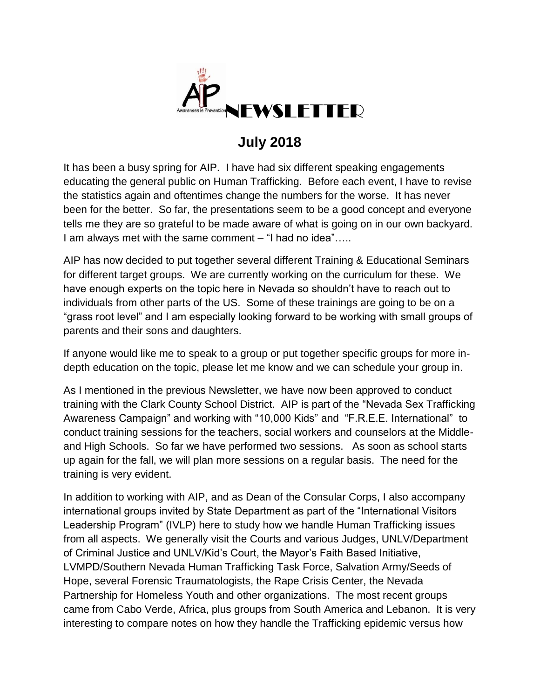

## **July 2018**

It has been a busy spring for AIP. I have had six different speaking engagements educating the general public on Human Trafficking. Before each event, I have to revise the statistics again and oftentimes change the numbers for the worse. It has never been for the better. So far, the presentations seem to be a good concept and everyone tells me they are so grateful to be made aware of what is going on in our own backyard. I am always met with the same comment – "I had no idea"…..

AIP has now decided to put together several different Training & Educational Seminars for different target groups. We are currently working on the curriculum for these. We have enough experts on the topic here in Nevada so shouldn't have to reach out to individuals from other parts of the US. Some of these trainings are going to be on a "grass root level" and I am especially looking forward to be working with small groups of parents and their sons and daughters.

If anyone would like me to speak to a group or put together specific groups for more indepth education on the topic, please let me know and we can schedule your group in.

As I mentioned in the previous Newsletter, we have now been approved to conduct training with the Clark County School District. AIP is part of the "Nevada Sex Trafficking Awareness Campaign" and working with "10,000 Kids" and "F.R.E.E. International" to conduct training sessions for the teachers, social workers and counselors at the Middleand High Schools. So far we have performed two sessions. As soon as school starts up again for the fall, we will plan more sessions on a regular basis. The need for the training is very evident.

In addition to working with AIP, and as Dean of the Consular Corps, I also accompany international groups invited by State Department as part of the "International Visitors Leadership Program" (IVLP) here to study how we handle Human Trafficking issues from all aspects. We generally visit the Courts and various Judges, UNLV/Department of Criminal Justice and UNLV/Kid's Court, the Mayor's Faith Based Initiative, LVMPD/Southern Nevada Human Trafficking Task Force, Salvation Army/Seeds of Hope, several Forensic Traumatologists, the Rape Crisis Center, the Nevada Partnership for Homeless Youth and other organizations. The most recent groups came from Cabo Verde, Africa, plus groups from South America and Lebanon. It is very interesting to compare notes on how they handle the Trafficking epidemic versus how